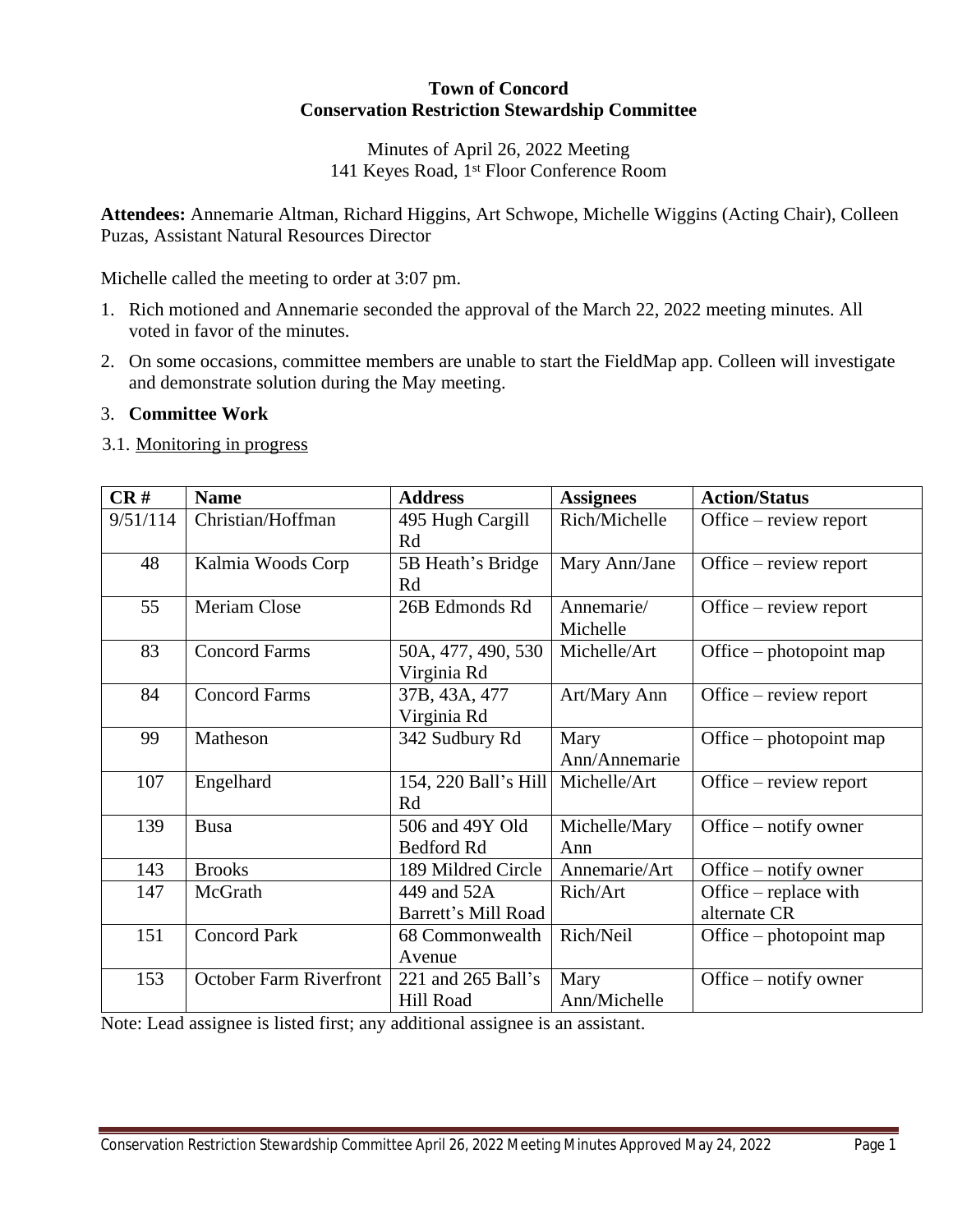## **Town of Concord Conservation Restriction Stewardship Committee**

## Minutes of April 26, 2022 Meeting 141 Keyes Road, 1st Floor Conference Room

**Attendees:** Annemarie Altman, Richard Higgins, Art Schwope, Michelle Wiggins (Acting Chair), Colleen Puzas, Assistant Natural Resources Director

Michelle called the meeting to order at 3:07 pm.

- 1. Rich motioned and Annemarie seconded the approval of the March 22, 2022 meeting minutes. All voted in favor of the minutes.
- 2. On some occasions, committee members are unable to start the FieldMap app. Colleen will investigate and demonstrate solution during the May meeting.

## 3. **Committee Work**

3.1. Monitoring in progress

| CR#      | <b>Name</b>                    | <b>Address</b>       | <b>Assignees</b> | <b>Action/Status</b>    |
|----------|--------------------------------|----------------------|------------------|-------------------------|
| 9/51/114 | Christian/Hoffman              | 495 Hugh Cargill     | Rich/Michelle    | Office – review report  |
|          |                                | Rd                   |                  |                         |
| 48       | Kalmia Woods Corp              | 5B Heath's Bridge    | Mary Ann/Jane    | Office – review report  |
|          |                                | Rd                   |                  |                         |
| 55       | <b>Meriam Close</b>            | 26B Edmonds Rd       | Annemarie/       | Office – review report  |
|          |                                |                      | Michelle         |                         |
| 83       | <b>Concord Farms</b>           | 50A, 477, 490, 530   | Michelle/Art     | Office – photopoint map |
|          |                                | Virginia Rd          |                  |                         |
| 84       | <b>Concord Farms</b>           | 37B, 43A, 477        | Art/Mary Ann     | Office – review report  |
|          |                                | Virginia Rd          |                  |                         |
| 99       | Matheson                       | 342 Sudbury Rd       | Mary             | Office – photopoint map |
|          |                                |                      | Ann/Annemarie    |                         |
| 107      | Engelhard                      | 154, 220 Ball's Hill | Michelle/Art     | Office – review report  |
|          |                                | Rd                   |                  |                         |
| 139      | <b>Busa</b>                    | 506 and 49Y Old      | Michelle/Mary    | Office – notify owner   |
|          |                                | Bedford Rd           | Ann              |                         |
| 143      | <b>Brooks</b>                  | 189 Mildred Circle   | Annemarie/Art    | Office – notify owner   |
| 147      | McGrath                        | 449 and 52A          | Rich/Art         | Office – replace with   |
|          |                                | Barrett's Mill Road  |                  | alternate CR            |
| 151      | <b>Concord Park</b>            | 68 Commonwealth      | Rich/Neil        | Office – photopoint map |
|          |                                | Avenue               |                  |                         |
| 153      | <b>October Farm Riverfront</b> | 221 and 265 Ball's   | Mary             | Office – notify owner   |
|          |                                | Hill Road            | Ann/Michelle     |                         |

Note: Lead assignee is listed first; any additional assignee is an assistant.